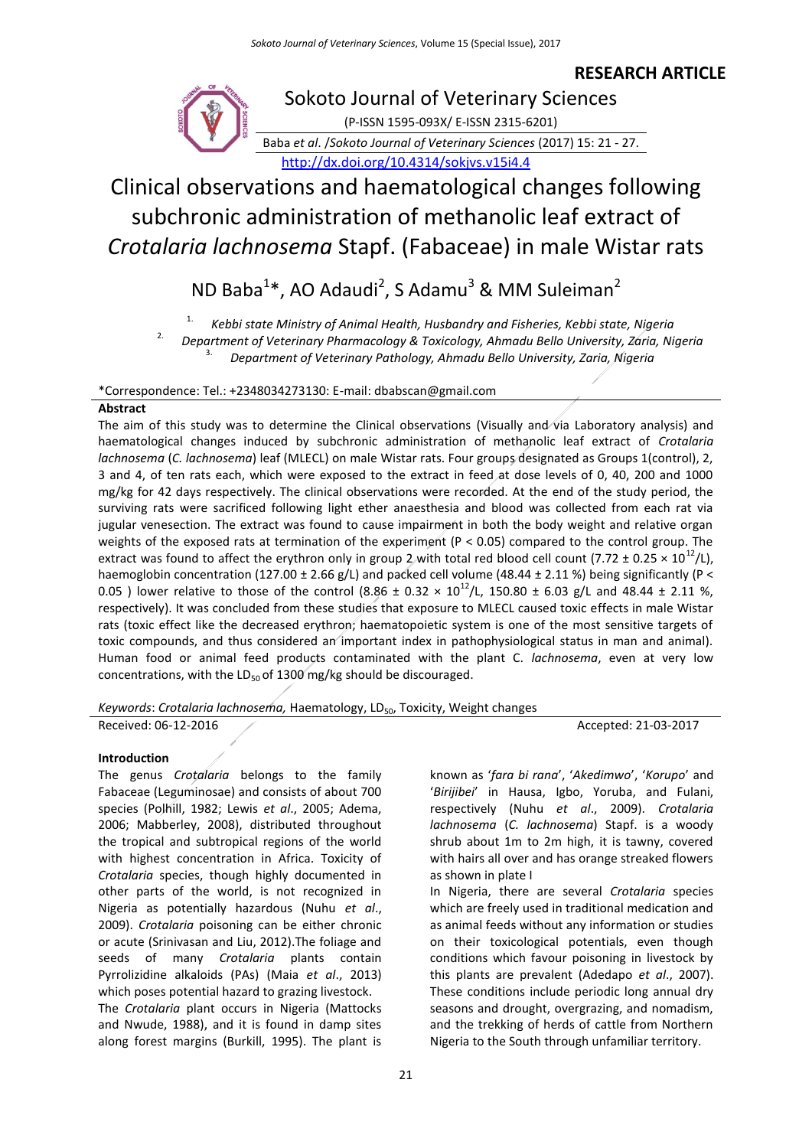# **RESEARCH ARTICLE**



Sokoto Journal of Veterinary Sciences (P-ISSN 1595-093X/ E-ISSN 2315-6201)

Baba *et al*. /*Sokoto Journal of Veterinary Sciences* (2017) 15: 21 - 27. <http://dx.doi.org/10.4314/sokjvs.v15i4.4>

# Clinical observations and haematological changes following subchronic administration of methanolic leaf extract of *Crotalaria lachnosema* Stapf. (Fabaceae) in male Wistar rats

# ND Baba<sup>1\*</sup>, AO Adaudi<sup>2</sup>, S Adamu<sup>3</sup> & MM Suleiman<sup>2</sup>

1. *Kebbi state Ministry of Animal Health, Husbandry and Fisheries, Kebbi state, Nigeria*

2. *Department of Veterinary Pharmacology & Toxicology, Ahmadu Bello University, Zaria, Nigeria*

3. *Department of Veterinary Pathology, Ahmadu Bello University, Zaria, Nigeria*

\*Correspondence: Tel.: +2348034273130: E-mail: dbabscan@gmail.com

# **Abstract**

The aim of this study was to determine the Clinical observations (Visually and via Laboratory analysis) and haematological changes induced by subchronic administration of methanolic leaf extract of *Crotalaria lachnosema* (*C. lachnosema*) leaf (MLECL) on male Wistar rats. Four groups designated as Groups 1(control), 2, 3 and 4, of ten rats each, which were exposed to the extract in feed at dose levels of 0, 40, 200 and 1000 mg/kg for 42 days respectively. The clinical observations were recorded. At the end of the study period, the surviving rats were sacrificed following light ether anaesthesia and blood was collected from each rat via jugular venesection. The extract was found to cause impairment in both the body weight and relative organ weights of the exposed rats at termination of the experiment (P < 0.05) compared to the control group. The extract was found to affect the erythron only in group 2 with total red blood cell count (7.72  $\pm$  0.25  $\times$  10<sup>12</sup>/L), haemoglobin concentration (127.00 ± 2.66 g/L) and packed cell volume (48.44 ± 2.11 %) being significantly (P < 0.05 ) lower relative to those of the control (8.86 ± 0.32 ×  $10^{12}$ /L, 150.80 ± 6.03 g/L and 48.44 ± 2.11 %, respectively). It was concluded from these studies that exposure to MLECL caused toxic effects in male Wistar rats (toxic effect like the decreased erythron; haematopoietic system is one of the most sensitive targets of toxic compounds, and thus considered an important index in pathophysiological status in man and animal). Human food or animal feed products contaminated with the plant C. *lachnosema*, even at very low concentrations, with the  $LD_{50}$  of 1300 mg/kg should be discouraged.

Keywords: Crotalaria lachnosema, Haematology, LD<sub>50</sub>, Toxicity, Weight changes

Received: 06-12-2016 Accepted: 21-03-2017

## **Introduction**

The genus *Crotalaria* belongs to the family Fabaceae (Leguminosae) and consists of about 700 species (Polhill, 1982; Lewis *et al*., 2005; Adema, 2006; Mabberley, 2008), distributed throughout the tropical and subtropical regions of the world with highest concentration in Africa. Toxicity of *Crotalaria* species, though highly documented in other parts of the world, is not recognized in Nigeria as potentially hazardous (Nuhu *et al*., 2009). *Crotalaria* poisoning can be either chronic or acute (Srinivasan and Liu, 2012).The foliage and seeds of many *Crotalaria* plants contain Pyrrolizidine alkaloids (PAs) (Maia *et al*., 2013) which poses potential hazard to grazing livestock. The *Crotalaria* plant occurs in Nigeria (Mattocks and Nwude, 1988), and it is found in damp sites along forest margins (Burkill, 1995). The plant is

known as '*fara bi rana*', '*Akedimwo*', '*Korupo*' and '*Birijibei*' in Hausa, Igbo, Yoruba, and Fulani, respectively (Nuhu *et al*., 2009). *Crotalaria lachnosema* (*C. lachnosema*) Stapf. is a woody shrub about 1m to 2m high, it is tawny, covered with hairs all over and has orange streaked flowers as shown in plate I

In Nigeria, there are several *Crotalaria* species which are freely used in traditional medication and as animal feeds without any information or studies on their toxicological potentials, even though conditions which favour poisoning in livestock by this plants are prevalent (Adedapo *et al*., 2007). These conditions include periodic long annual dry seasons and drought, overgrazing, and nomadism, and the trekking of herds of cattle from Northern Nigeria to the South through unfamiliar territory.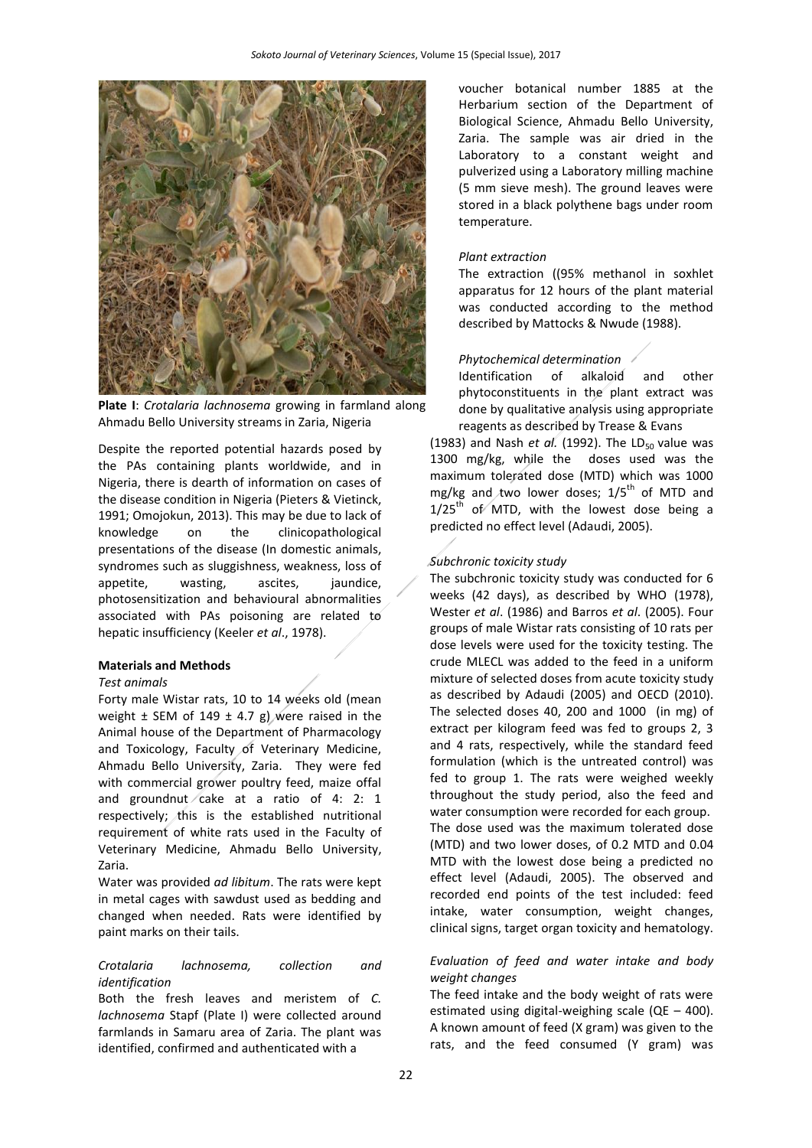

**Plate I**: *Crotalaria lachnosema* growing in farmland along Ahmadu Bello University streams in Zaria, Nigeria

Despite the reported potential hazards posed by the PAs containing plants worldwide, and in Nigeria, there is dearth of information on cases of the disease condition in Nigeria (Pieters & Vietinck, 1991; Omojokun, 2013). This may be due to lack of knowledge on the clinicopathological presentations of the disease (In domestic animals, syndromes such as sluggishness, weakness, loss of appetite, wasting, ascites, jaundice, photosensitization and behavioural abnormalities associated with PAs poisoning are related to hepatic insufficiency (Keeler *et al*., 1978).

## **Materials and Methods**

## *Test animals*

Forty male Wistar rats, 10 to 14 weeks old (mean weight  $\pm$  SEM of 149  $\pm$  4.7 g) were raised in the Animal house of the Department of Pharmacology and Toxicology, Faculty of Veterinary Medicine, Ahmadu Bello University, Zaria. They were fed with commercial grower poultry feed, maize offal and groundnut  $\ell$  cake at a ratio of 4: 2: 1 respectively; this is the established nutritional requirement of white rats used in the Faculty of Veterinary Medicine, Ahmadu Bello University, Zaria.

Water was provided *ad libitum*. The rats were kept in metal cages with sawdust used as bedding and changed when needed. Rats were identified by paint marks on their tails.

## *Crotalaria lachnosema, collection and identification*

Both the fresh leaves and meristem of *C. lachnosema* Stapf (Plate I) were collected around farmlands in Samaru area of Zaria. The plant was identified, confirmed and authenticated with a

voucher botanical number 1885 at the Herbarium section of the Department of Biological Science, Ahmadu Bello University, Zaria. The sample was air dried in the Laboratory to a constant weight and pulverized using a Laboratory milling machine (5 mm sieve mesh). The ground leaves were stored in a black polythene bags under room temperature.

### *Plant extraction*

The extraction ((95% methanol in soxhlet apparatus for 12 hours of the plant material was conducted according to the method described by Mattocks & Nwude (1988).

#### *Phytochemical determination*

Identification of alkaloid and other phytoconstituents in the plant extract was done by qualitative analysis using appropriate reagents as described by Trease & Evans

(1983) and Nash *et al.* (1992). The LD<sub>50</sub> value was 1300 mg/kg, while the doses used was the maximum tolerated dose (MTD) which was 1000 mg/kg and two lower doses;  $1/5^{th}$  of MTD and  $1/25^{th}$  of MTD, with the lowest dose being a predicted no effect level (Adaudi, 2005).

## *Subchronic toxicity study*

The subchronic toxicity study was conducted for 6 weeks (42 days), as described by WHO (1978), Wester *et al*. (1986) and Barros *et al*. (2005). Four groups of male Wistar rats consisting of 10 rats per dose levels were used for the toxicity testing. The crude MLECL was added to the feed in a uniform mixture of selected doses from acute toxicity study as described by Adaudi (2005) and OECD (2010). The selected doses 40, 200 and 1000 (in mg) of extract per kilogram feed was fed to groups 2, 3 and 4 rats, respectively, while the standard feed formulation (which is the untreated control) was fed to group 1. The rats were weighed weekly throughout the study period, also the feed and water consumption were recorded for each group. The dose used was the maximum tolerated dose (MTD) and two lower doses, of 0.2 MTD and 0.04 MTD with the lowest dose being a predicted no effect level (Adaudi, 2005). The observed and recorded end points of the test included: feed intake, water consumption, weight changes, clinical signs, target organ toxicity and hematology.

# *Evaluation of feed and water intake and body weight changes*

The feed intake and the body weight of rats were estimated using digital-weighing scale ( $QE - 400$ ). A known amount of feed (X gram) was given to the rats, and the feed consumed (Y gram) was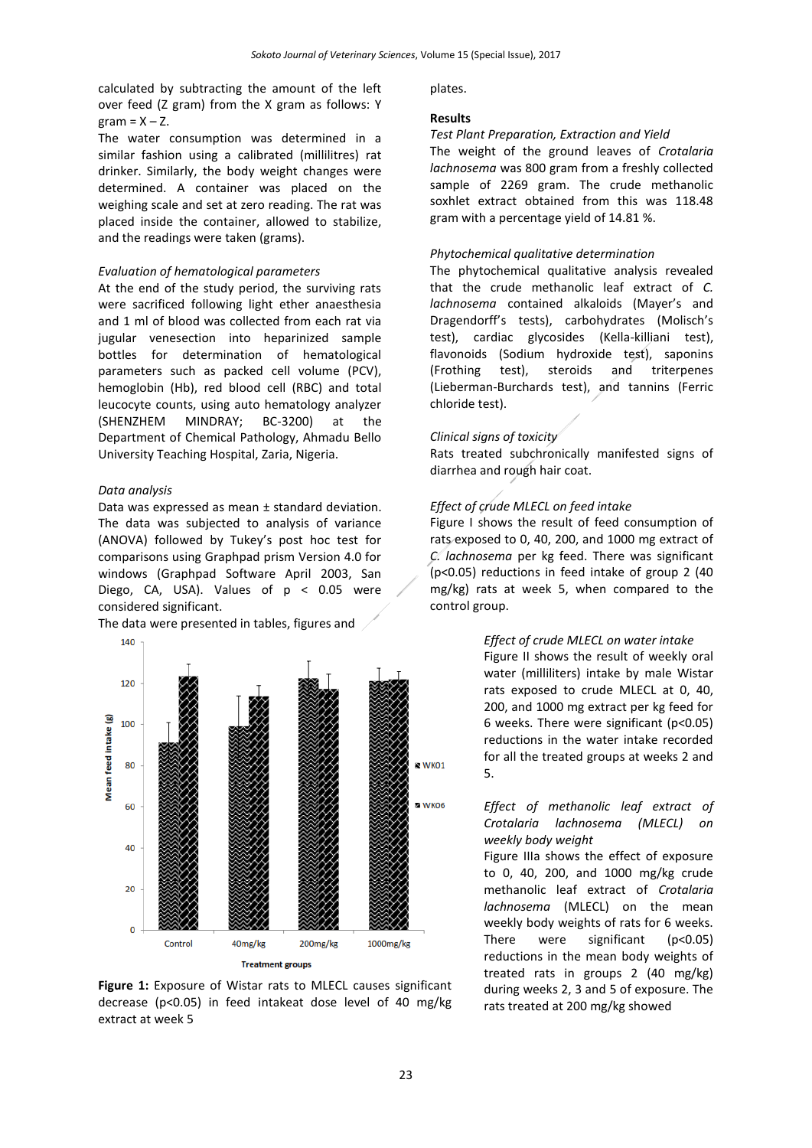calculated by subtracting the amount of the left over feed (Z gram) from the X gram as follows: Y  $gram = X - Z$ .

The water consumption was determined in a similar fashion using a calibrated (millilitres) rat drinker. Similarly, the body weight changes were determined. A container was placed on the weighing scale and set at zero reading. The rat was placed inside the container, allowed to stabilize, and the readings were taken (grams).

#### *Evaluation of hematological parameters*

At the end of the study period, the surviving rats were sacrificed following light ether anaesthesia and 1 ml of blood was collected from each rat via jugular venesection into heparinized sample bottles for determination of hematological parameters such as packed cell volume (PCV), hemoglobin (Hb), red blood cell (RBC) and total leucocyte counts, using auto hematology analyzer (SHENZHEM MINDRAY; BC-3200) at the Department of Chemical Pathology, Ahmadu Bello University Teaching Hospital, Zaria, Nigeria.

## *Data analysis*

Data was expressed as mean ± standard deviation. The data was subjected to analysis of variance (ANOVA) followed by Tukey's post hoc test for comparisons using Graphpad prism Version 4.0 for windows (Graphpad Software April 2003, San Diego, CA, USA). Values of  $p < 0.05$  were considered significant.

The data were presented in tables, figures and



**Figure 1:** Exposure of Wistar rats to MLECL causes significant decrease (p<0.05) in feed intakeat dose level of 40 mg/kg extract at week 5

plates.

#### **Results**

#### *Test Plant Preparation, Extraction and Yield*

The weight of the ground leaves of *Crotalaria lachnosema* was 800 gram from a freshly collected sample of 2269 gram. The crude methanolic soxhlet extract obtained from this was 118.48 gram with a percentage yield of 14.81 %.

## *Phytochemical qualitative determination*

The phytochemical qualitative analysis revealed that the crude methanolic leaf extract of *C. lachnosema* contained alkaloids (Mayer's and Dragendorff's tests), carbohydrates (Molisch's test), cardiac glycosides (Kella-killiani test), flavonoids (Sodium hydroxide test), saponins (Frothing test), steroids and triterpenes (Lieberman-Burchards test), and tannins (Ferric chloride test).

## *Clinical signs of toxicity*

Rats treated subchronically manifested signs of diarrhea and rough hair coat.

#### *Effect of crude MLECL on feed intake*

Figure I shows the result of feed consumption of rats exposed to 0, 40, 200, and 1000 mg extract of *C. lachnosema* per kg feed. There was significant (p˂0.05) reductions in feed intake of group 2 (40 mg/kg) rats at week 5, when compared to the control group.

## *Effect of crude MLECL on water intake*

Figure II shows the result of weekly oral water (milliliters) intake by male Wistar rats exposed to crude MLECL at 0, 40, 200, and 1000 mg extract per kg feed for 6 weeks. There were significant (p˂0.05) reductions in the water intake recorded for all the treated groups at weeks 2 and 5.

# *Effect of methanolic leaf extract of Crotalaria lachnosema (MLECL) on weekly body weight*

Figure IIIa shows the effect of exposure to 0, 40, 200, and 1000 mg/kg crude methanolic leaf extract of *Crotalaria lachnosema* (MLECL) on the mean weekly body weights of rats for 6 weeks. There were significant (p˂0.05) reductions in the mean body weights of treated rats in groups 2 (40 mg/kg) during weeks 2, 3 and 5 of exposure. The rats treated at 200 mg/kg showed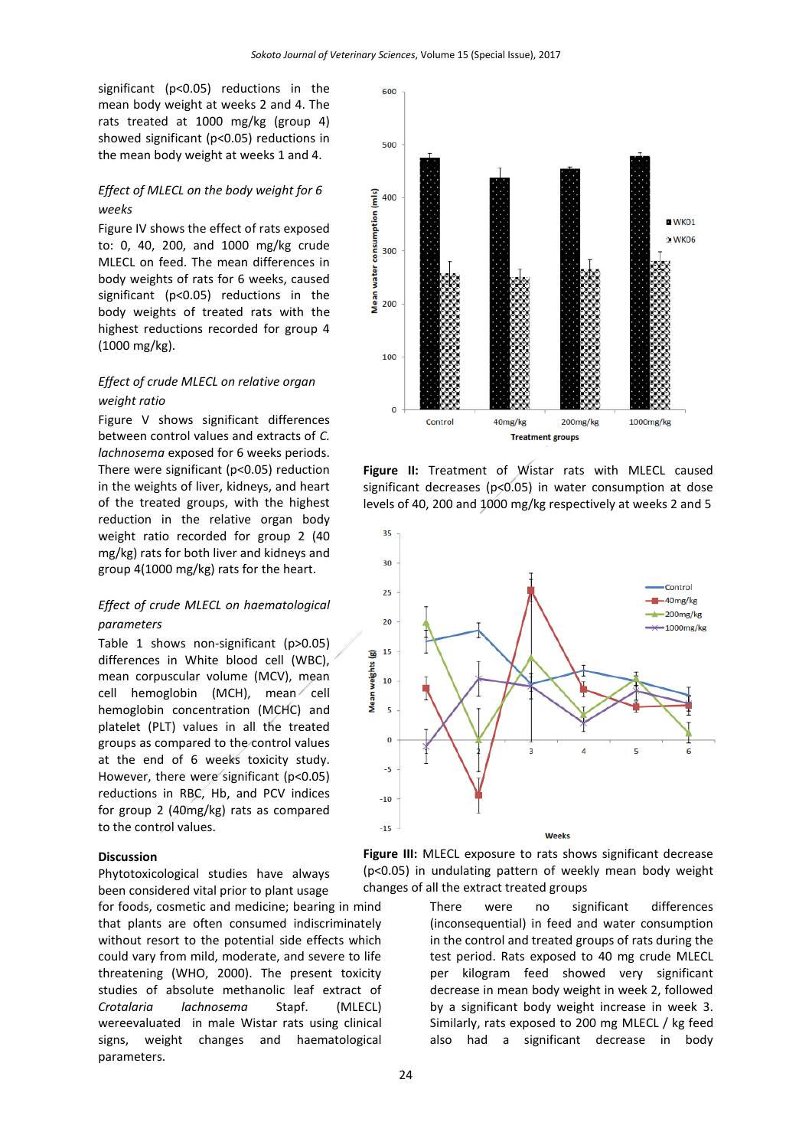significant (p˂0.05) reductions in the mean body weight at weeks 2 and 4. The rats treated at 1000 mg/kg (group 4) showed significant (p˂0.05) reductions in the mean body weight at weeks 1 and 4.

# *Effect of MLECL on the body weight for 6 weeks*

Figure IV shows the effect of rats exposed to: 0, 40, 200, and 1000 mg/kg crude MLECL on feed. The mean differences in body weights of rats for 6 weeks, caused significant (p˂0.05) reductions in the body weights of treated rats with the highest reductions recorded for group 4 (1000 mg/kg).

# *Effect of crude MLECL on relative organ weight ratio*

Figure V shows significant differences between control values and extracts of *C. lachnosema* exposed for 6 weeks periods. There were significant (p˂0.05) reduction in the weights of liver, kidneys, and heart of the treated groups, with the highest reduction in the relative organ body weight ratio recorded for group 2 (40 mg/kg) rats for both liver and kidneys and group 4(1000 mg/kg) rats for the heart.

# *Effect of crude MLECL on haematological parameters*

Table 1 shows non-significant (p>0.05) differences in White blood cell (WBC), mean corpuscular volume (MCV), mean cell hemoglobin (MCH), mean cell hemoglobin concentration (MCHC) and platelet (PLT) values in all the treated groups as compared to the control values at the end of 6 weeks toxicity study. However, there were significant (p˂0.05) reductions in RBC, Hb, and PCV indices for group 2 (40mg/kg) rats as compared to the control values.

## **Discussion**

Phytotoxicological studies have always been considered vital prior to plant usage

for foods, cosmetic and medicine; bearing in mind that plants are often consumed indiscriminately without resort to the potential side effects which could vary from mild, moderate, and severe to life threatening (WHO, 2000). The present toxicity studies of absolute methanolic leaf extract of *Crotalaria lachnosema* Stapf. (MLECL) wereevaluated in male Wistar rats using clinical signs, weight changes and haematological parameters.



**Figure II:** Treatment of Wistar rats with MLECL caused significant decreases (p<0.05) in water consumption at dose levels of 40, 200 and 1000 mg/kg respectively at weeks 2 and 5



**Figure III:** MLECL exposure to rats shows significant decrease (p<0.05) in undulating pattern of weekly mean body weight changes of all the extract treated groups

> There were no significant differences (inconsequential) in feed and water consumption in the control and treated groups of rats during the test period. Rats exposed to 40 mg crude MLECL per kilogram feed showed very significant decrease in mean body weight in week 2, followed by a significant body weight increase in week 3. Similarly, rats exposed to 200 mg MLECL / kg feed also had a significant decrease in body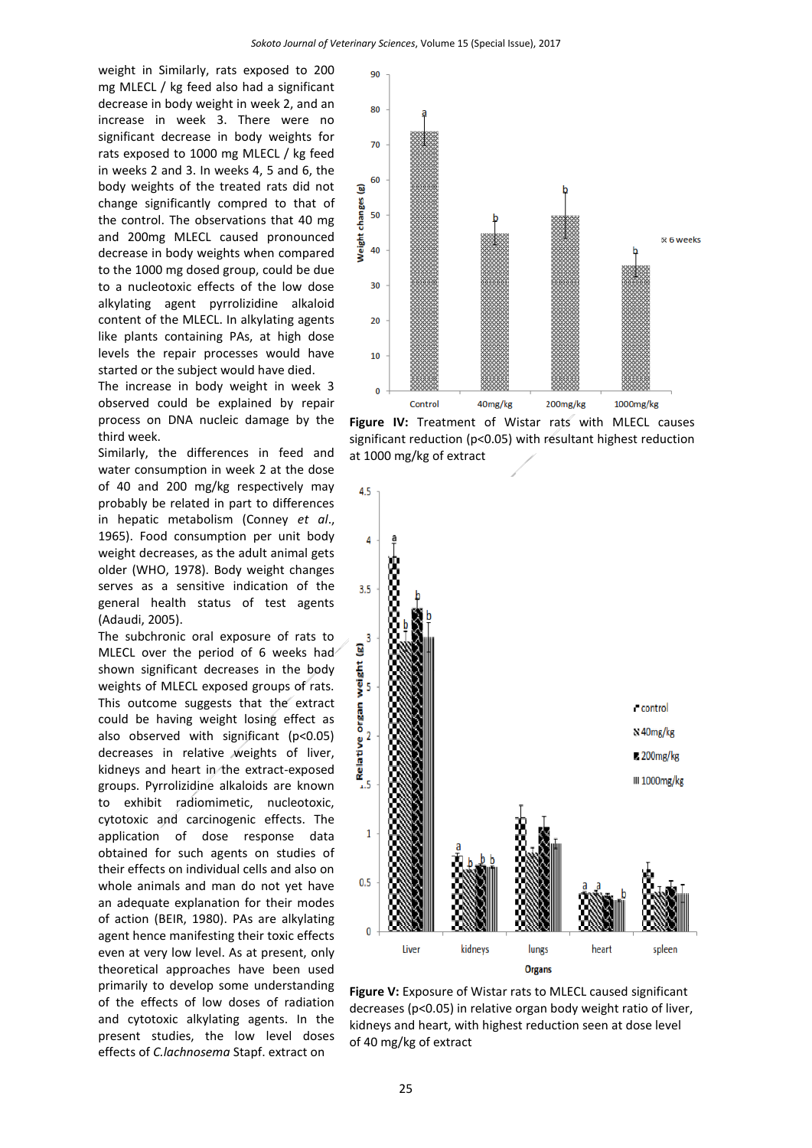weight in Similarly, rats exposed to 200 mg MLECL / kg feed also had a significant decrease in body weight in week 2, and an increase in week 3. There were no significant decrease in body weights for rats exposed to 1000 mg MLECL / kg feed in weeks 2 and 3. In weeks 4, 5 and 6, the body weights of the treated rats did not change significantly compred to that of the control. The observations that 40 mg and 200mg MLECL caused pronounced decrease in body weights when compared to the 1000 mg dosed group, could be due to a nucleotoxic effects of the low dose alkylating agent pyrrolizidine alkaloid content of the MLECL. In alkylating agents like plants containing PAs, at high dose levels the repair processes would have started or the subject would have died.

The increase in body weight in week 3 observed could be explained by repair process on DNA nucleic damage by the third week.

Similarly, the differences in feed and water consumption in week 2 at the dose of 40 and 200 mg/kg respectively may probably be related in part to differences in hepatic metabolism (Conney *et al*., 1965). Food consumption per unit body weight decreases, as the adult animal gets older (WHO, 1978). Body weight changes serves as a sensitive indication of the general health status of test agents (Adaudi, 2005).

The subchronic oral exposure of rats to MLECL over the period of 6 weeks had shown significant decreases in the body weights of MLECL exposed groups of rats. This outcome suggests that the extract could be having weight losing effect as also observed with significant (p˂0.05) decreases in relative weights of liver, kidneys and heart in the extract-exposed groups. Pyrrolizidine alkaloids are known to exhibit radiomimetic, nucleotoxic, cytotoxic and carcinogenic effects. The application of dose response data obtained for such agents on studies of their effects on individual cells and also on whole animals and man do not yet have an adequate explanation for their modes of action (BEIR, 1980). PAs are alkylating agent hence manifesting their toxic effects even at very low level. As at present, only theoretical approaches have been used primarily to develop some understanding of the effects of low doses of radiation and cytotoxic alkylating agents. In the present studies, the low level doses effects of *C.lachnosema* Stapf. extract on



**Figure IV:** Treatment of Wistar rats with MLECL causes significant reduction (p<0.05) with resultant highest reduction at 1000 mg/kg of extract



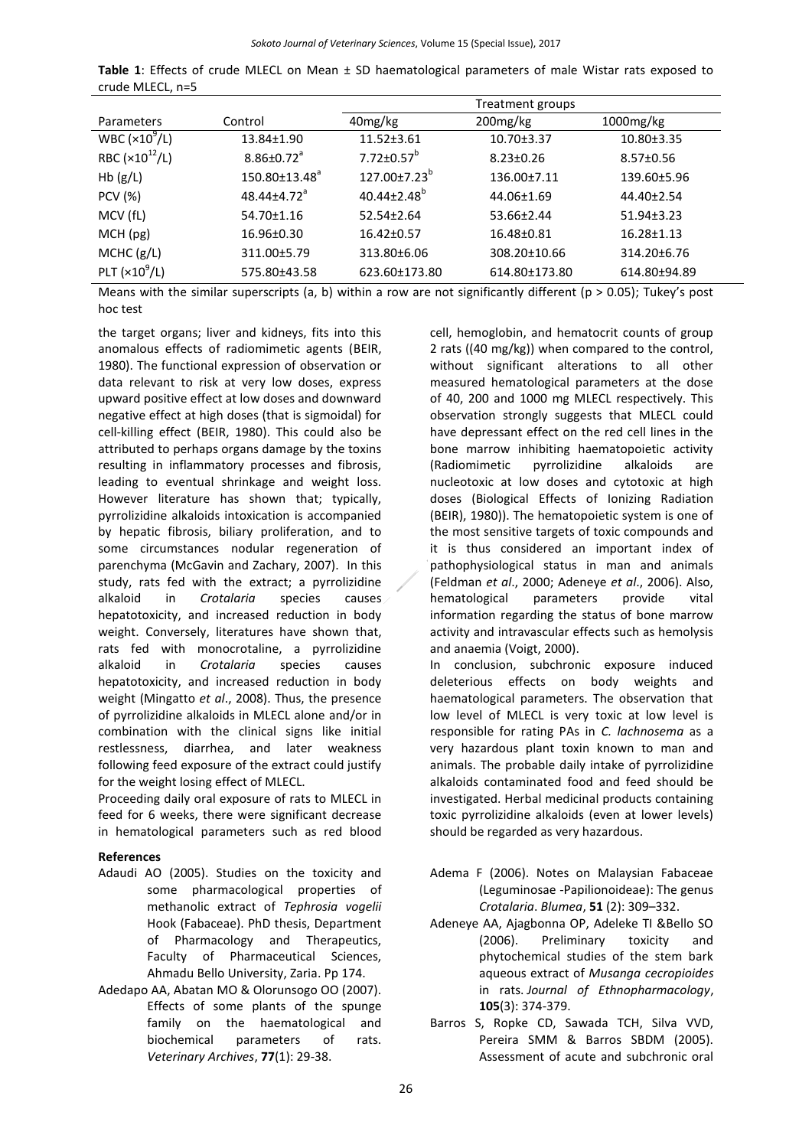**Table 1**: Effects of crude MLECL on Mean ± SD haematological parameters of male Wistar rats exposed to crude MLECL, n=5

|                         |                               |                                | Treatment groups  |                  |
|-------------------------|-------------------------------|--------------------------------|-------------------|------------------|
| Parameters              | Control                       | 40 <sub>mg/kg</sub>            | $200$ mg/kg       | $1000$ mg/kg     |
| WBC ( $\times 10^9$ /L) | 13.84±1.90                    | $11.52 \pm 3.61$               | $10.70 \pm 3.37$  | $10.80 \pm 3.35$ |
| RBC $(x10^{12}/L)$      | $8.86 \pm 0.72$ <sup>a</sup>  | $7.72 \pm 0.57^b$              | $8.23 \pm 0.26$   | $8.57 \pm 0.56$  |
| Hb(g/L)                 | $150.80 \pm 13.48^a$          | $127.00 \pm 7.23$ <sup>b</sup> | $136.00 \pm 7.11$ | 139.60±5.96      |
| <b>PCV (%)</b>          | $48.44 \pm 4.72$ <sup>a</sup> | $40.44 \pm 2.48$ <sup>p</sup>  | 44.06±1.69        | 44.40±2.54       |
| MCV (fL)                | 54.70±1.16                    | $52.54 \pm 2.64$               | 53.66±2.44        | $51.94 \pm 3.23$ |
| MCH (pg)                | 16.96±0.30                    | $16.42 \pm 0.57$               | 16.48±0.81        | $16.28 \pm 1.13$ |
| MCHC (g/L)              | 311.00±5.79                   | 313.80±6.06                    | 308.20±10.66      | 314.20±6.76      |
| PLT $(x10^9/L)$         | 575.80±43.58                  | 623.60±173.80                  | 614.80±173.80     | 614.80±94.89     |

Means with the similar superscripts (a, b) within a row are not significantly different ( $p > 0.05$ ); Tukey's post hoc test

the target organs; liver and kidneys, fits into this anomalous effects of radiomimetic agents (BEIR, 1980). The functional expression of observation or data relevant to risk at very low doses, express upward positive effect at low doses and downward negative effect at high doses (that is sigmoidal) for cell-killing effect (BEIR, 1980). This could also be attributed to perhaps organs damage by the toxins resulting in inflammatory processes and fibrosis, leading to eventual shrinkage and weight loss. However literature has shown that; typically, pyrrolizidine alkaloids intoxication is accompanied by hepatic fibrosis, biliary proliferation, and to some circumstances nodular regeneration of parenchyma (McGavin and Zachary, 2007). In this study, rats fed with the extract; a pyrrolizidine alkaloid in *Crotalaria* species causes hepatotoxicity, and increased reduction in body weight. Conversely, literatures have shown that, rats fed with monocrotaline, a pyrrolizidine alkaloid in *Crotalaria* species causes hepatotoxicity, and increased reduction in body weight (Mingatto *et al*., 2008). Thus, the presence of pyrrolizidine alkaloids in MLECL alone and/or in combination with the clinical signs like initial restlessness, diarrhea, and later weakness following feed exposure of the extract could justify for the weight losing effect of MLECL.

Proceeding daily oral exposure of rats to MLECL in feed for 6 weeks, there were significant decrease in hematological parameters such as red blood

# **References**

- Adaudi AO (2005). Studies on the toxicity and some pharmacological properties of methanolic extract of *Tephrosia vogelii* Hook (Fabaceae). PhD thesis, Department of Pharmacology and Therapeutics, Faculty of Pharmaceutical Sciences, Ahmadu Bello University, Zaria. Pp 174.
- Adedapo AA, Abatan MO & Olorunsogo OO (2007). Effects of some plants of the spunge family on the haematological and biochemical parameters of rats. *Veterinary Archives*, **77**(1): 29-38.

cell, hemoglobin, and hematocrit counts of group 2 rats ((40 mg/kg)) when compared to the control, without significant alterations to all other measured hematological parameters at the dose of 40, 200 and 1000 mg MLECL respectively. This observation strongly suggests that MLECL could have depressant effect on the red cell lines in the bone marrow inhibiting haematopoietic activity (Radiomimetic pyrrolizidine alkaloids are nucleotoxic at low doses and cytotoxic at high doses (Biological Effects of Ionizing Radiation (BEIR), 1980)). The hematopoietic system is one of the most sensitive targets of toxic compounds and it is thus considered an important index of pathophysiological status in man and animals (Feldman *et al*., 2000; Adeneye *et al*., 2006). Also, hematological parameters provide vital information regarding the status of bone marrow activity and intravascular effects such as hemolysis and anaemia (Voigt, 2000).

In conclusion, subchronic exposure induced deleterious effects on body weights and haematological parameters. The observation that low level of MLECL is very toxic at low level is responsible for rating PAs in *C. lachnosema* as a very hazardous plant toxin known to man and animals. The probable daily intake of pyrrolizidine alkaloids contaminated food and feed should be investigated. Herbal medicinal products containing toxic pyrrolizidine alkaloids (even at lower levels) should be regarded as very hazardous.

- Adema F (2006). Notes on Malaysian Fabaceae (Leguminosae -Papilionoideae): The genus *Crotalaria*. *Blumea*, **51** (2): 309–332.
- Adeneye AA, Ajagbonna OP, Adeleke TI &Bello SO (2006). Preliminary toxicity and phytochemical studies of the stem bark aqueous extract of *Musanga cecropioides* in rats. *Journal of Ethnopharmacology*, **105**(3): 374-379.
- Barros S, Ropke CD, Sawada TCH, Silva VVD, Pereira SMM & Barros SBDM (2005). Assessment of acute and subchronic oral